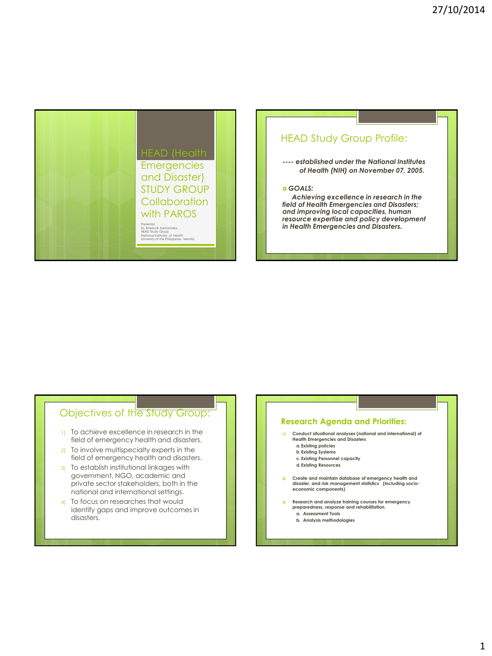

# HEAD Study Group Profile:

*---- established under the National Institutes of Health (NIH) on November 07, 2005.* 

#### *GOALS:*

 *Achieving excellence in research in the field of Health Emergencies and Disasters; and improving local capacities, human resource expertise and policy development in Health Emergencies and Disasters.* 

# Objectives of the Study Group:

- 1) To achieve excellence in research in the field of emergency health and disasters.
- 2) To involve multispecialty experts in the field of emergency health and disasters.
- 3) To establish institutional linkages with government, NGO, academic and private sector stakeholders, both in the national and international settings.
- 4) To focus on researches that would identify gaps and improve outcomes in disasters.

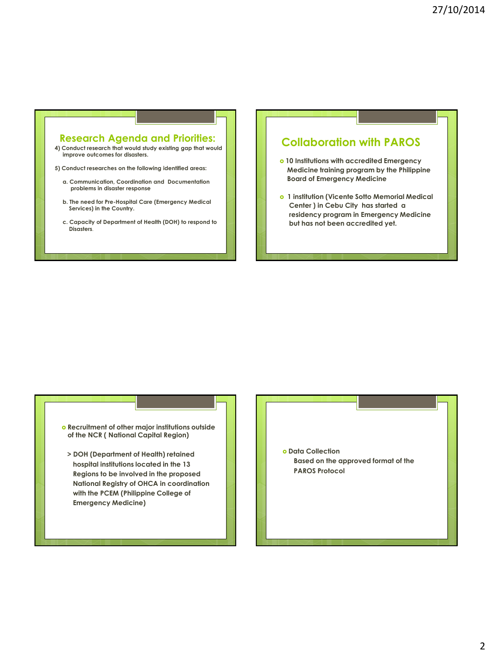### **Research Agenda and Priorities:**

- **4) Conduct research that would study existing gap that would improve outcomes for disasters.**
- **5) Conduct researches on the following identified areas:**
	- **a. Communication, Coordination and Documentation problems in disaster response**
	- **b. The need for Pre-Hospital Care (Emergency Medical Services) in the Country.**
	- **c. Capacity of Department of Health (DOH) to respond to Disasters**.

## **Collaboration with PAROS**

- **10 Institutions with accredited Emergency Medicine training program by the Philippine Board of Emergency Medicine**
- **1 institution (Vicente Sotto Memorial Medical Center ) in Cebu City has started a residency program in Emergency Medicine but has not been accredited yet.**

### **Recruitment of other major institutions outside of the NCR ( National Capital Region)**

 **> DOH (Department of Health) retained hospital institutions located in the 13 Regions to be involved in the proposed National Registry of OHCA in coordination with the PCEM (Philippine College of Emergency Medicine)**

 $o$  Data Collection  **Based on the approved format of the PAROS Protocol**